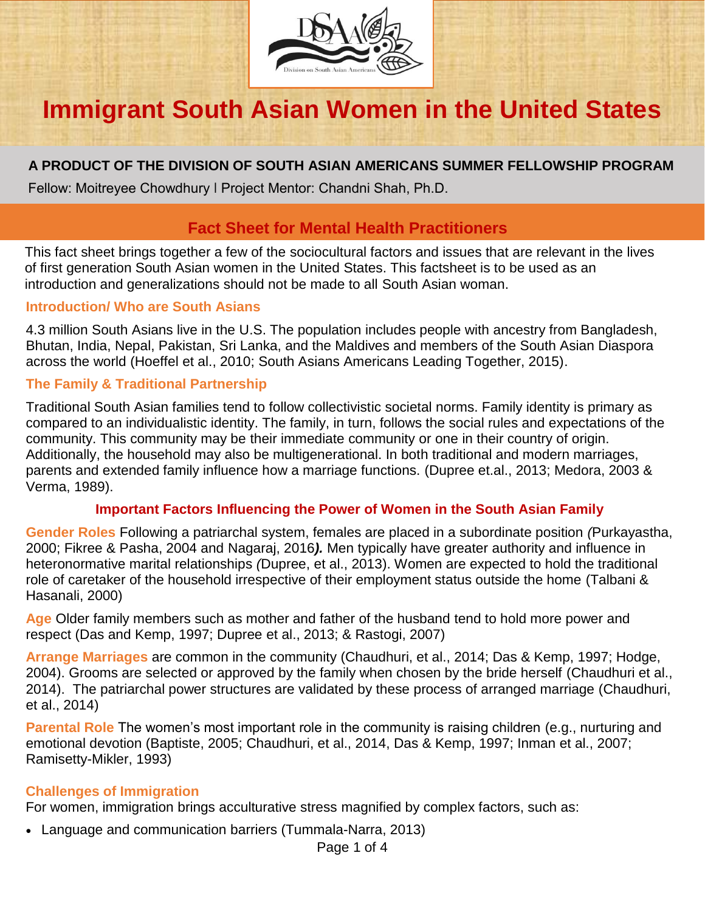

# **Immigrant South Asian Women in the United States**

## **A PRODUCT OF THE DIVISION OF SOUTH ASIAN AMERICANS SUMMER FELLOWSHIP PROGRAM**

Fellow: Moitreyee Chowdhury ǀ Project Mentor: Chandni Shah, Ph.D.

## **Fact Sheet for Mental Health Practitioners**

This fact sheet brings together a few of the sociocultural factors and issues that are relevant in the lives of first generation South Asian women in the United States. This factsheet is to be used as an introduction and generalizations should not be made to all South Asian woman.

#### **Introduction/ Who are South Asians**

4.3 million South Asians live in the U.S. The population includes people with ancestry from Bangladesh, Bhutan, India, Nepal, Pakistan, Sri Lanka, and the Maldives and members of the South Asian Diaspora across the world (Hoeffel et al., 2010; South Asians Americans Leading Together, 2015).

### **The Family & Traditional Partnership**

Traditional South Asian families tend to follow collectivistic societal norms. Family identity is primary as compared to an individualistic identity. The family, in turn, follows the social rules and expectations of the community. This community may be their immediate community or one in their country of origin. Additionally, the household may also be multigenerational. In both traditional and modern marriages, parents and extended family influence how a marriage functions. (Dupree et.al., 2013; Medora, 2003 & Verma, 1989).

#### **Important Factors Influencing the Power of Women in the South Asian Family**

**Gender Roles** Following a patriarchal system, females are placed in a subordinate position *(*Purkayastha, 2000; Fikree & Pasha, 2004 and Nagaraj, 2016*).* Men typically have greater authority and influence in heteronormative marital relationships *(*Dupree, et al., 2013). Women are expected to hold the traditional role of caretaker of the household irrespective of their employment status outside the home (Talbani & Hasanali, 2000)

**Age** Older family members such as mother and father of the husband tend to hold more power and respect (Das and Kemp, 1997; Dupree et al., 2013; & Rastogi, 2007)

**Arrange Marriages** are common in the community (Chaudhuri, et al., 2014; Das & Kemp, 1997; Hodge, 2004). Grooms are selected or approved by the family when chosen by the bride herself (Chaudhuri et al., 2014). The patriarchal power structures are validated by these process of arranged marriage (Chaudhuri, et al., 2014)

**Parental Role** The women's most important role in the community is raising children (e.g., nurturing and emotional devotion (Baptiste, 2005; Chaudhuri, et al., 2014, Das & Kemp, 1997; Inman et al., 2007; Ramisetty-Mikler, 1993)

### **Challenges of Immigration**

For women, immigration brings acculturative stress magnified by complex factors, such as:

• Language and communication barriers (Tummala-Narra, 2013)

Page 1 of 4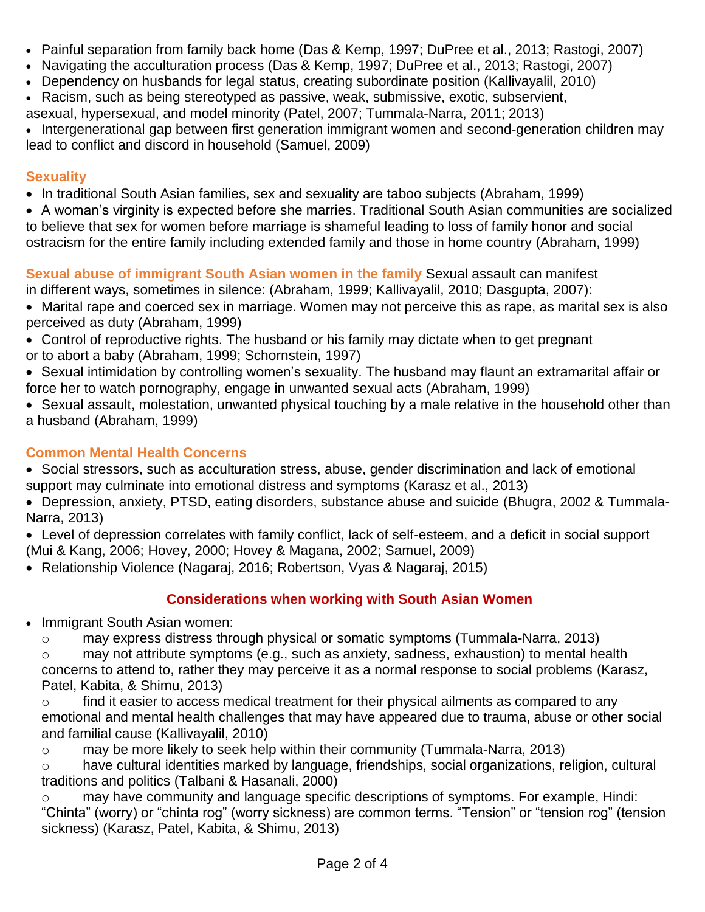- Painful separation from family back home (Das & Kemp, 1997; DuPree et al., 2013; Rastogi, 2007)
- Navigating the acculturation process (Das & Kemp, 1997; DuPree et al., 2013; Rastogi, 2007)
- Dependency on husbands for legal status, creating subordinate position (Kallivayalil, 2010)
- Racism, such as being stereotyped as passive, weak, submissive, exotic, subservient,
- asexual, hypersexual, and model minority (Patel, 2007; Tummala-Narra, 2011; 2013)

• Intergenerational gap between first generation immigrant women and second-generation children may lead to conflict and discord in household (Samuel, 2009)

## **Sexuality**

- In traditional South Asian families, sex and sexuality are taboo subjects (Abraham, 1999)
- A woman's virginity is expected before she marries. Traditional South Asian communities are socialized to believe that sex for women before marriage is shameful leading to loss of family honor and social ostracism for the entire family including extended family and those in home country (Abraham, 1999)

**Sexual abuse of immigrant South Asian women in the family** Sexual assault can manifest

in different ways, sometimes in silence: (Abraham, 1999; Kallivayalil, 2010; Dasgupta, 2007):

- Marital rape and coerced sex in marriage. Women may not perceive this as rape, as marital sex is also perceived as duty (Abraham, 1999)
- Control of reproductive rights. The husband or his family may dictate when to get pregnant or to abort a baby (Abraham, 1999; Schornstein, 1997)
- Sexual intimidation by controlling women's sexuality. The husband may flaunt an extramarital affair or force her to watch pornography, engage in unwanted sexual acts (Abraham, 1999)
- Sexual assault, molestation, unwanted physical touching by a male relative in the household other than a husband (Abraham, 1999)

## **Common Mental Health Concerns**

- Social stressors, such as acculturation stress, abuse, gender discrimination and lack of emotional support may culminate into emotional distress and symptoms (Karasz et al., 2013)
- Depression, anxiety, PTSD, eating disorders, substance abuse and suicide (Bhugra, 2002 & Tummala-Narra, 2013)
- Level of depression correlates with family conflict, lack of self-esteem, and a deficit in social support (Mui & Kang, 2006; Hovey, 2000; Hovey & Magana, 2002; Samuel, 2009)
- Relationship Violence (Nagaraj, 2016; Robertson, Vyas & Nagaraj, 2015)

## **Considerations when working with South Asian Women**

• Immigrant South Asian women:

o may express distress through physical or somatic symptoms (Tummala-Narra, 2013)

o may not attribute symptoms (e.g., such as anxiety, sadness, exhaustion) to mental health concerns to attend to, rather they may perceive it as a normal response to social problems (Karasz, Patel, Kabita, & Shimu, 2013)

o find it easier to access medical treatment for their physical ailments as compared to any emotional and mental health challenges that may have appeared due to trauma, abuse or other social and familial cause (Kallivayalil, 2010)

o may be more likely to seek help within their community (Tummala-Narra, 2013)

 $\circ$  have cultural identities marked by language, friendships, social organizations, religion, cultural traditions and politics (Talbani & Hasanali, 2000)

o may have community and language specific descriptions of symptoms. For example, Hindi: "Chinta" (worry) or "chinta rog" (worry sickness) are common terms. "Tension" or "tension rog" (tension sickness) (Karasz, Patel, Kabita, & Shimu, 2013)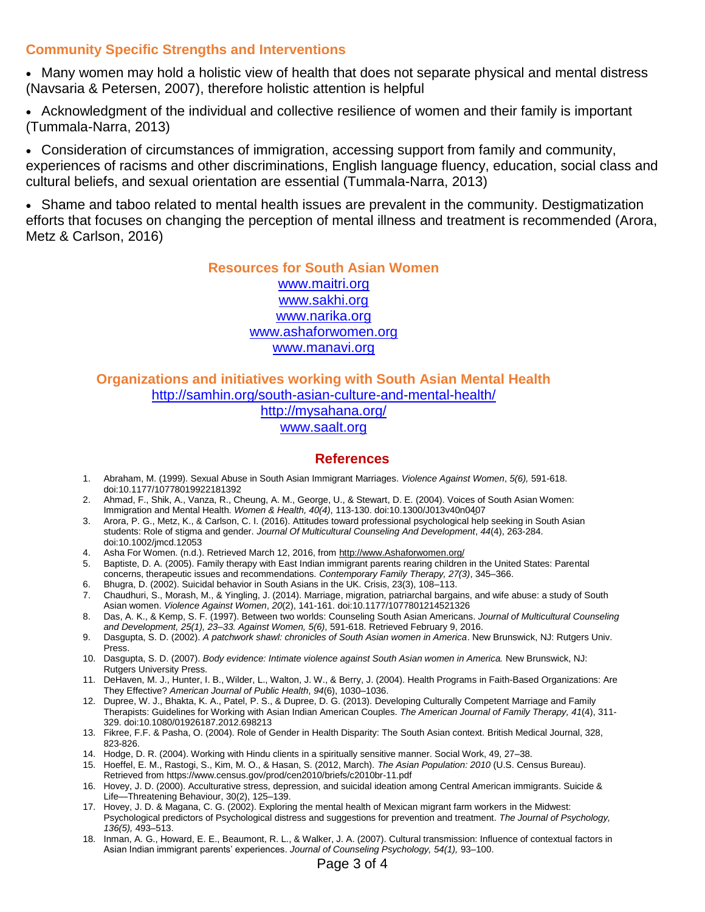#### **Community Specific Strengths and Interventions**

• Many women may hold a holistic view of health that does not separate physical and mental distress (Navsaria & Petersen, 2007), therefore holistic attention is helpful

• Acknowledgment of the individual and collective resilience of women and their family is important (Tummala-Narra, 2013)

• Consideration of circumstances of immigration, accessing support from family and community, experiences of racisms and other discriminations, English language fluency, education, social class and cultural beliefs, and sexual orientation are essential (Tummala-Narra, 2013)

• Shame and taboo related to mental health issues are prevalent in the community. Destigmatization efforts that focuses on changing the perception of mental illness and treatment is recommended (Arora, Metz & Carlson, 2016)

#### **Resources for South Asian Women** [www.maitri.org](http://www.maitri.org/) [www.sakhi.org](file:///C:/Users/chandni/Downloads/www.sakhi.org) [www.narika.org](http://www.narika.org/) [www.ashaforwomen.org](http://www.ashaforwomen.org/) [www.manavi.org](http://www.manavi.org/)

# **Organizations and initiatives working with South Asian Mental Health** <http://samhin.org/south-asian-culture-and-mental-health/>

<http://mysahana.org/> [www.saalt.org](http://www.saalt.org/)

#### **References**

- 1. Abraham, M. (1999). Sexual Abuse in South Asian Immigrant Marriages. *Violence Against Women*, *5(6),* 591-618. doi:10.1177/10778019922181392
- 2. Ahmad, F., Shik, A., Vanza, R., Cheung, A. M., George, U., & Stewart, D. E. (2004). Voices of South Asian Women: Immigration and Mental Health. *Women & Health, 40(4)*, 113-130. doi:10.1300/J013v40n0407
- 3. Arora, P. G., Metz, K., & Carlson, C. I. (2016). Attitudes toward professional psychological help seeking in South Asian students: Role of stigma and gender. *Journal Of Multicultural Counseling And Development*, *44*(4), 263-284. doi:10.1002/jmcd.12053
- 4. Asha For Women. (n.d.). Retrieved March 12, 2016, fro[m http://www.Ashaforwomen.org/](http://www.ashaforwomen.org/)
- 5. Baptiste, D. A. (2005). Family therapy with East Indian immigrant parents rearing children in the United States: Parental concerns, therapeutic issues and recommendations. *Contemporary Family Therapy, 27(3)*, 345–366.
- 6. Bhugra, D. (2002). Suicidal behavior in South Asians in the UK. Crisis, 23(3), 108–113.
- 7. Chaudhuri, S., Morash, M., & Yingling, J. (2014). Marriage, migration, patriarchal bargains, and wife abuse: a study of South Asian women. *Violence Against Women*, *20*(2), 141-161. doi:10.1177/1077801214521326
- 8. Das, A. K., & Kemp, S. F. (1997). Between two worlds: Counseling South Asian Americans. *Journal of Multicultural Counseling and Development, 25(1), 23–33. Against Women, 5(6)*, 591-618. Retrieved February 9, 2016.
- 9. Dasgupta, S. D. (2002). *A patchwork shawl: chronicles of South Asian women in America*. New Brunswick, NJ: Rutgers Univ. Press.
- 10. Dasgupta, S. D. (2007). *Body evidence: Intimate violence against South Asian women in America.* New Brunswick, NJ: Rutgers University Press.
- 11. DeHaven, M. J., Hunter, I. B., Wilder, L., Walton, J. W., & Berry, J. (2004). Health Programs in Faith-Based Organizations: Are They Effective? *American Journal of Public Health*, *94*(6), 1030–1036.
- 12. Dupree, W. J., Bhakta, K. A., Patel, P. S., & Dupree, D. G. (2013). Developing Culturally Competent Marriage and Family Therapists: Guidelines for Working with Asian Indian American Couples. *The American Journal of Family Therapy, 41*(4), 311- 329. doi:10.1080/01926187.2012.698213
- 13. Fikree, F.F. & Pasha, O. (2004). Role of Gender in Health Disparity: The South Asian context. British Medical Journal, 328, 823-826.
- 14. Hodge, D. R. (2004). Working with Hindu clients in a spiritually sensitive manner. Social Work, 49, 27–38.
- 15. Hoeffel, E. M., Rastogi, S., Kim, M. O., & Hasan, S. (2012, March). *The Asian Population: 2010* (U.S. Census Bureau). Retrieved from https://www.census.gov/prod/cen2010/briefs/c2010br-11.pdf
- 16. Hovey, J. D. (2000). Acculturative stress, depression, and suicidal ideation among Central American immigrants. Suicide & Life—Threatening Behaviour, 30(2), 125–139.
- 17. Hovey, J. D. & Magana, C. G. (2002). Exploring the mental health of Mexican migrant farm workers in the Midwest: Psychological predictors of Psychological distress and suggestions for prevention and treatment. *The Journal of Psychology, 136(5),* 493–513.
- 18. Inman, A. G., Howard, E. E., Beaumont, R. L., & Walker, J. A. (2007). Cultural transmission: Influence of contextual factors in Asian Indian immigrant parents' experiences. *Journal of Counseling Psychology, 54(1),* 93–100.